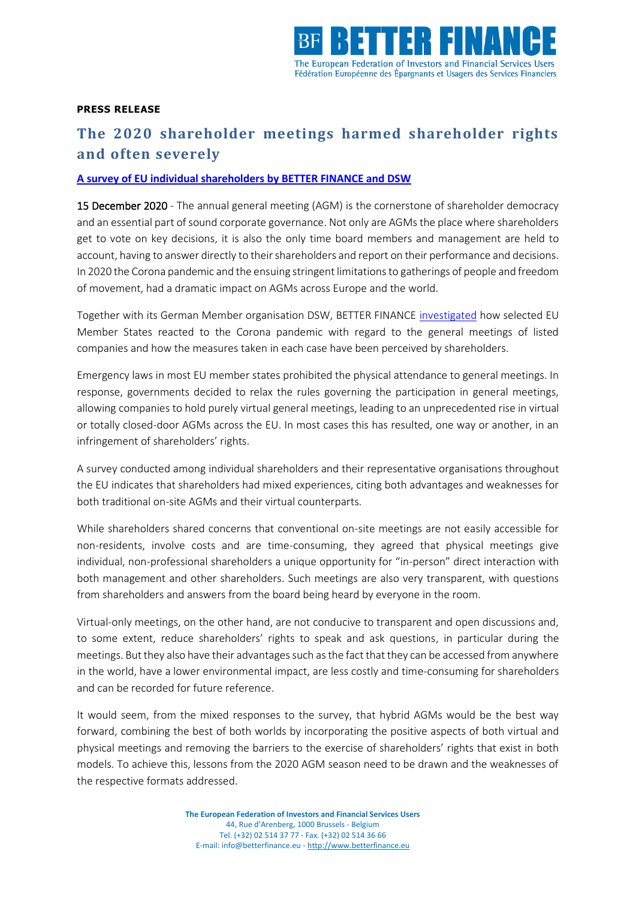

## **PRESS RELEASE**

## **The 2020 shareholder meetings harmed shareholder rights and often severely**

## **[A survey of EU individual shareholders by BETTER FINANCE and DSW](https://betterfinance.eu/publication/the-future-of-general-shareholder-meetings-a-better-finance-dsw-study-on-the-2020-virtual-shareholder-meetings-in-the-eu/)**

15 December 2020 - The annual general meeting (AGM) is the cornerstone of shareholder democracy and an essential part of sound corporate governance. Not only are AGMs the place where shareholders get to vote on key decisions, it is also the only time board members and management are held to account, having to answer directly to their shareholders and report on their performance and decisions. In 2020 the Corona pandemic and the ensuing stringent limitations to gatherings of people and freedom of movement, had a dramatic impact on AGMs across Europe and the world.

Together with its German Member organisation DSW, BETTER FINANCE [investigated](https://betterfinance.eu/publication/the-future-of-general-shareholder-meetings-a-better-finance-dsw-study-on-the-2020-virtual-shareholder-meetings-in-the-eu/) how selected EU Member States reacted to the Corona pandemic with regard to the general meetings of listed companies and how the measures taken in each case have been perceived by shareholders.

Emergency laws in most EU member states prohibited the physical attendance to general meetings. In response, governments decided to relax the rules governing the participation in general meetings, allowing companies to hold purely virtual general meetings, leading to an unprecedented rise in virtual or totally closed-door AGMs across the EU. In most cases this has resulted, one way or another, in an infringement of shareholders' rights.

A survey conducted among individual shareholders and their representative organisations throughout the EU indicates that shareholders had mixed experiences, citing both advantages and weaknesses for both traditional on-site AGMs and their virtual counterparts.

While shareholders shared concerns that conventional on-site meetings are not easily accessible for non-residents, involve costs and are time-consuming, they agreed that physical meetings give individual, non-professional shareholders a unique opportunity for "in-person" direct interaction with both management and other shareholders. Such meetings are also very transparent, with questions from shareholders and answers from the board being heard by everyone in the room.

Virtual-only meetings, on the other hand, are not conducive to transparent and open discussions and, to some extent, reduce shareholders' rights to speak and ask questions, in particular during the meetings. But they also have their advantages such as the fact that they can be accessed from anywhere in the world, have a lower environmental impact, are less costly and time-consuming for shareholders and can be recorded for future reference.

It would seem, from the mixed responses to the survey, that hybrid AGMs would be the best way forward, combining the best of both worlds by incorporating the positive aspects of both virtual and physical meetings and removing the barriers to the exercise of shareholders' rights that exist in both models. To achieve this, lessons from the 2020 AGM season need to be drawn and the weaknesses of the respective formats addressed.

> **The European Federation of Investors and Financial Services Users** 44, Rue d'Arenberg, 1000 Brussels - Belgium Tel. (+32) 02 514 37 77 - Fax. (+32) 02 514 36 66 E-mail: info@betterfinance.eu - [http://www.betterfinance.eu](http://www.eurofinuse.org/)